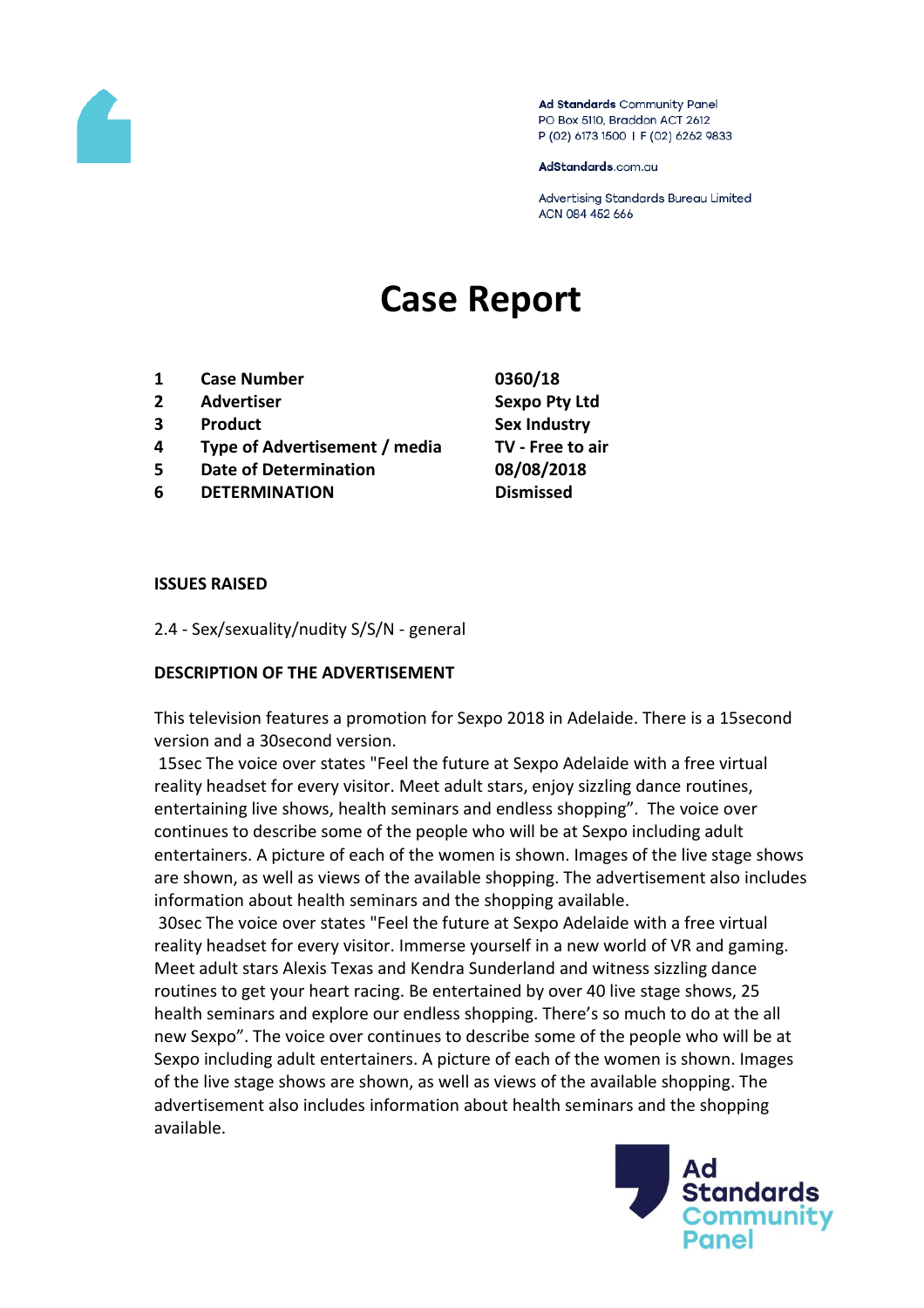

Ad Standards Community Panel PO Box 5110, Braddon ACT 2612 P (02) 6173 1500 | F (02) 6262 9833

AdStandards.com.au

Advertising Standards Bureau Limited ACN 084 452 666

# **Case Report**

- **1 Case Number 0360/18**
- **2 Advertiser Sexpo Pty Ltd**
- **3 Product Sex Industry**
- **4 Type of Advertisement / media TV - Free to air**
- **5 Date of Determination 08/08/2018**
- **6 DETERMINATION Dismissed**

#### **ISSUES RAISED**

2.4 - Sex/sexuality/nudity S/S/N - general

### **DESCRIPTION OF THE ADVERTISEMENT**

This television features a promotion for Sexpo 2018 in Adelaide. There is a 15second version and a 30second version.

15sec The voice over states "Feel the future at Sexpo Adelaide with a free virtual reality headset for every visitor. Meet adult stars, enjoy sizzling dance routines, entertaining live shows, health seminars and endless shopping". The voice over continues to describe some of the people who will be at Sexpo including adult entertainers. A picture of each of the women is shown. Images of the live stage shows are shown, as well as views of the available shopping. The advertisement also includes information about health seminars and the shopping available.

30sec The voice over states "Feel the future at Sexpo Adelaide with a free virtual reality headset for every visitor. Immerse yourself in a new world of VR and gaming. Meet adult stars Alexis Texas and Kendra Sunderland and witness sizzling dance routines to get your heart racing. Be entertained by over 40 live stage shows, 25 health seminars and explore our endless shopping. There's so much to do at the all new Sexpo". The voice over continues to describe some of the people who will be at Sexpo including adult entertainers. A picture of each of the women is shown. Images of the live stage shows are shown, as well as views of the available shopping. The advertisement also includes information about health seminars and the shopping available.

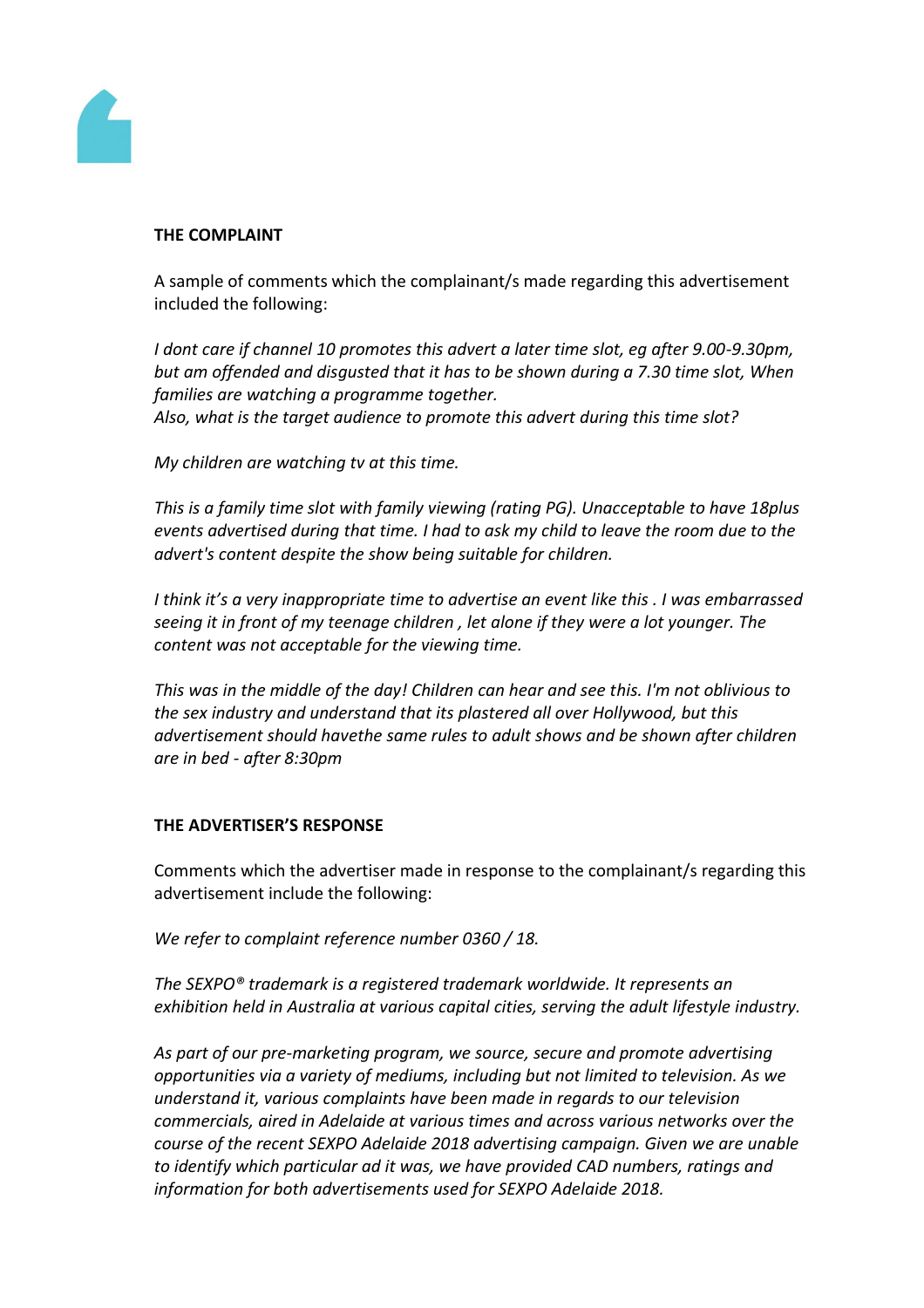

# **THE COMPLAINT**

A sample of comments which the complainant/s made regarding this advertisement included the following:

*I dont care if channel 10 promotes this advert a later time slot, eg after 9.00-9.30pm, but am offended and disgusted that it has to be shown during a 7.30 time slot, When families are watching a programme together.*

*Also, what is the target audience to promote this advert during this time slot?*

*My children are watching tv at this time.*

*This is a family time slot with family viewing (rating PG). Unacceptable to have 18plus events advertised during that time. I had to ask my child to leave the room due to the advert's content despite the show being suitable for children.*

*I think it's a very inappropriate time to advertise an event like this . I was embarrassed seeing it in front of my teenage children , let alone if they were a lot younger. The content was not acceptable for the viewing time.*

*This was in the middle of the day! Children can hear and see this. I'm not oblivious to the sex industry and understand that its plastered all over Hollywood, but this advertisement should havethe same rules to adult shows and be shown after children are in bed - after 8:30pm*

### **THE ADVERTISER'S RESPONSE**

Comments which the advertiser made in response to the complainant/s regarding this advertisement include the following:

*We refer to complaint reference number 0360 / 18.*

*The SEXPO® trademark is a registered trademark worldwide. It represents an exhibition held in Australia at various capital cities, serving the adult lifestyle industry.*

*As part of our pre-marketing program, we source, secure and promote advertising opportunities via a variety of mediums, including but not limited to television. As we understand it, various complaints have been made in regards to our television commercials, aired in Adelaide at various times and across various networks over the course of the recent SEXPO Adelaide 2018 advertising campaign. Given we are unable to identify which particular ad it was, we have provided CAD numbers, ratings and information for both advertisements used for SEXPO Adelaide 2018.*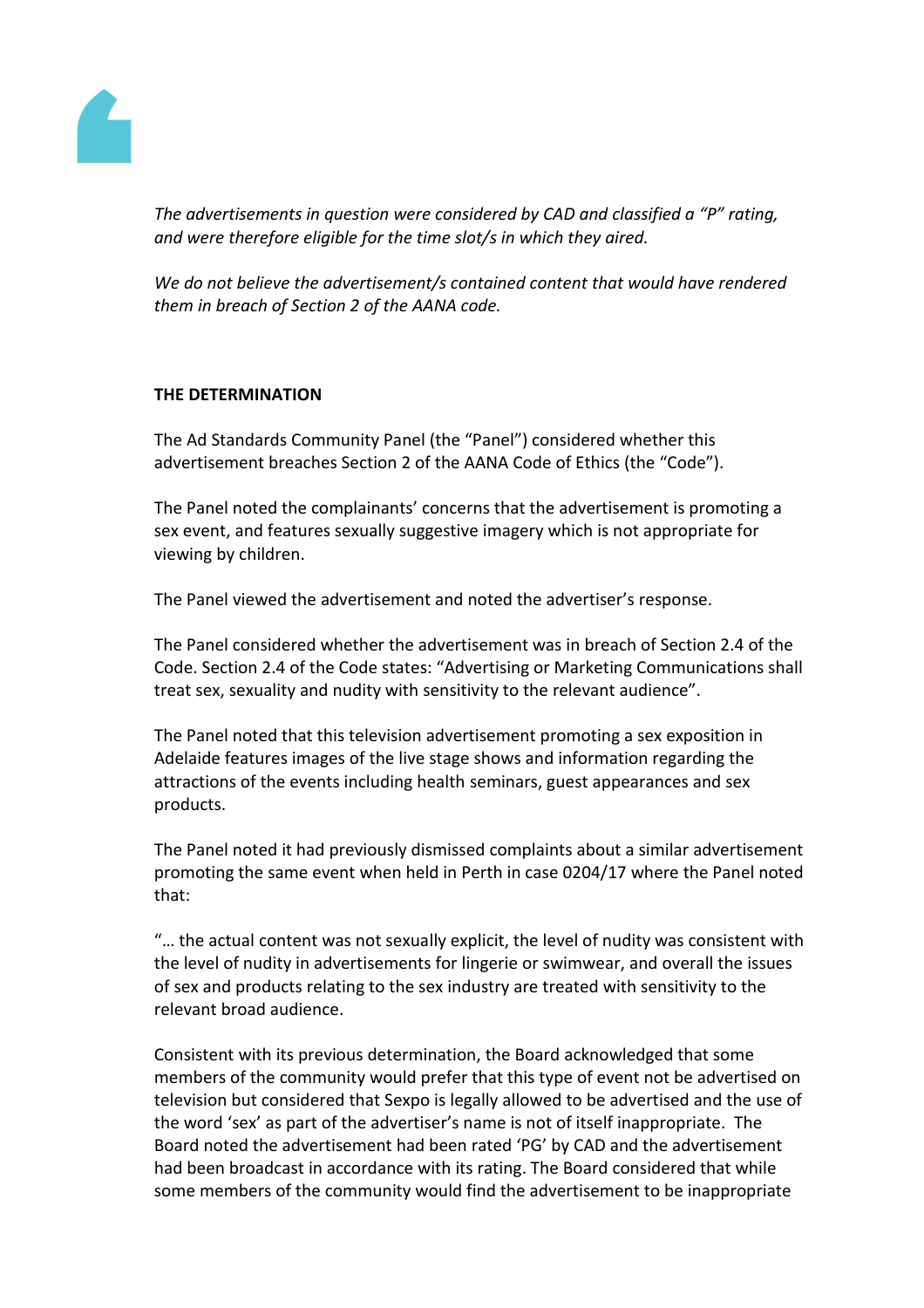

*The advertisements in question were considered by CAD and classified a "P" rating, and were therefore eligible for the time slot/s in which they aired.*

*We do not believe the advertisement/s contained content that would have rendered them in breach of Section 2 of the AANA code.*

# **THE DETERMINATION**

The Ad Standards Community Panel (the "Panel") considered whether this advertisement breaches Section 2 of the AANA Code of Ethics (the "Code").

The Panel noted the complainants' concerns that the advertisement is promoting a sex event, and features sexually suggestive imagery which is not appropriate for viewing by children.

The Panel viewed the advertisement and noted the advertiser's response.

The Panel considered whether the advertisement was in breach of Section 2.4 of the Code. Section 2.4 of the Code states: "Advertising or Marketing Communications shall treat sex, sexuality and nudity with sensitivity to the relevant audience".

The Panel noted that this television advertisement promoting a sex exposition in Adelaide features images of the live stage shows and information regarding the attractions of the events including health seminars, guest appearances and sex products.

The Panel noted it had previously dismissed complaints about a similar advertisement promoting the same event when held in Perth in case 0204/17 where the Panel noted that:

"… the actual content was not sexually explicit, the level of nudity was consistent with the level of nudity in advertisements for lingerie or swimwear, and overall the issues of sex and products relating to the sex industry are treated with sensitivity to the relevant broad audience.

Consistent with its previous determination, the Board acknowledged that some members of the community would prefer that this type of event not be advertised on television but considered that Sexpo is legally allowed to be advertised and the use of the word 'sex' as part of the advertiser's name is not of itself inappropriate. The Board noted the advertisement had been rated 'PG' by CAD and the advertisement had been broadcast in accordance with its rating. The Board considered that while some members of the community would find the advertisement to be inappropriate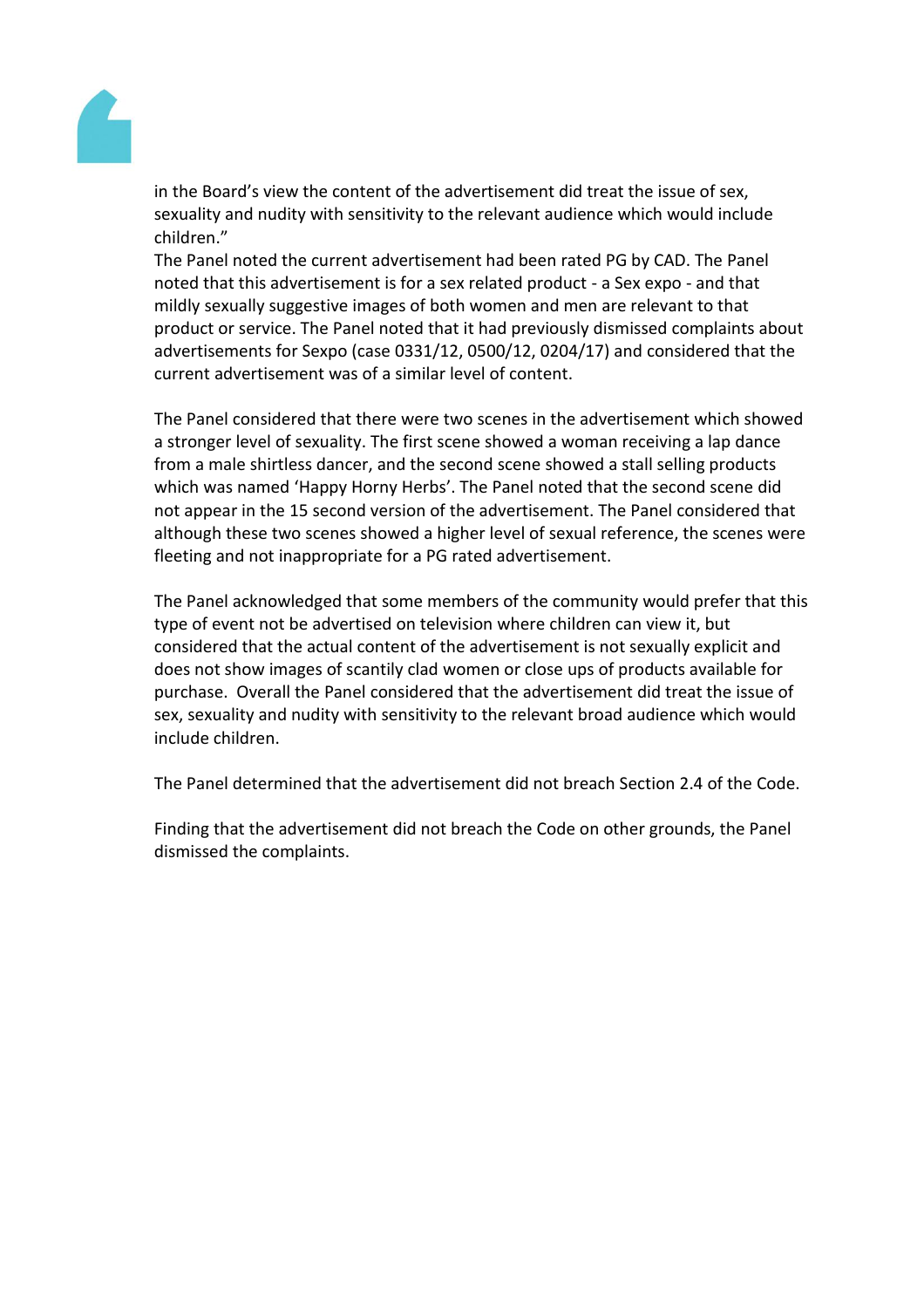

in the Board's view the content of the advertisement did treat the issue of sex, sexuality and nudity with sensitivity to the relevant audience which would include children."

The Panel noted the current advertisement had been rated PG by CAD. The Panel noted that this advertisement is for a sex related product - a Sex expo - and that mildly sexually suggestive images of both women and men are relevant to that product or service. The Panel noted that it had previously dismissed complaints about advertisements for Sexpo (case 0331/12, 0500/12, 0204/17) and considered that the current advertisement was of a similar level of content.

The Panel considered that there were two scenes in the advertisement which showed a stronger level of sexuality. The first scene showed a woman receiving a lap dance from a male shirtless dancer, and the second scene showed a stall selling products which was named 'Happy Horny Herbs'. The Panel noted that the second scene did not appear in the 15 second version of the advertisement. The Panel considered that although these two scenes showed a higher level of sexual reference, the scenes were fleeting and not inappropriate for a PG rated advertisement.

The Panel acknowledged that some members of the community would prefer that this type of event not be advertised on television where children can view it, but considered that the actual content of the advertisement is not sexually explicit and does not show images of scantily clad women or close ups of products available for purchase. Overall the Panel considered that the advertisement did treat the issue of sex, sexuality and nudity with sensitivity to the relevant broad audience which would include children.

The Panel determined that the advertisement did not breach Section 2.4 of the Code.

Finding that the advertisement did not breach the Code on other grounds, the Panel dismissed the complaints.